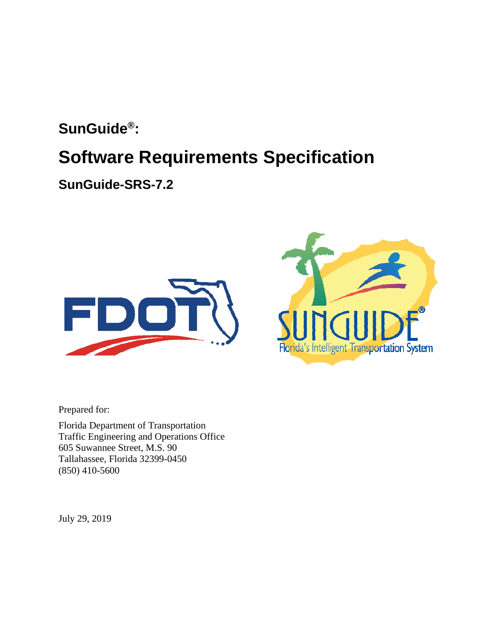## **SunGuide®:**

## **Software Requirements Specification**

**SunGuide-SRS-7.2** 





Prepared for:

Florida Department of Transportation Traffic Engineering and Operations Office 605 Suwannee Street, M.S. 90 Tallahassee, Florida 32399-0450 (850) 410-5600

July 29, 2019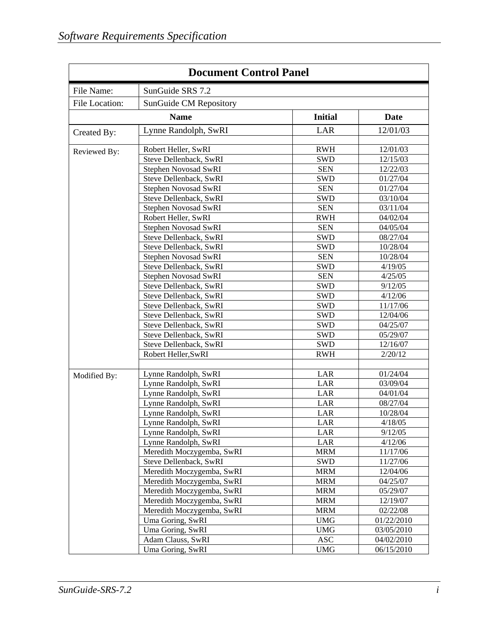| <b>Document Control Panel</b> |                             |                |            |
|-------------------------------|-----------------------------|----------------|------------|
| File Name:                    | SunGuide SRS 7.2            |                |            |
| File Location:                | SunGuide CM Repository      |                |            |
|                               | <b>Name</b>                 | <b>Initial</b> | Date       |
| Created By:                   | Lynne Randolph, SwRI        | LAR            | 12/01/03   |
|                               |                             |                |            |
| Reviewed By:                  | Robert Heller, SwRI         | <b>RWH</b>     | 12/01/03   |
|                               | Steve Dellenback, SwRI      | <b>SWD</b>     | 12/15/03   |
|                               | Stephen Novosad SwRI        | <b>SEN</b>     | 12/22/03   |
|                               | Steve Dellenback, SwRI      | <b>SWD</b>     | 01/27/04   |
|                               | <b>Stephen Novosad SwRI</b> | <b>SEN</b>     | 01/27/04   |
|                               | Steve Dellenback, SwRI      | <b>SWD</b>     | 03/10/04   |
|                               | Stephen Novosad SwRI        | <b>SEN</b>     | 03/11/04   |
|                               | Robert Heller, SwRI         | <b>RWH</b>     | 04/02/04   |
|                               | Stephen Novosad SwRI        | <b>SEN</b>     | 04/05/04   |
|                               | Steve Dellenback, SwRI      | <b>SWD</b>     | 08/27/04   |
|                               | Steve Dellenback, SwRI      | <b>SWD</b>     | 10/28/04   |
|                               | <b>Stephen Novosad SwRI</b> | <b>SEN</b>     | 10/28/04   |
|                               | Steve Dellenback, SwRI      | <b>SWD</b>     | 4/19/05    |
|                               | Stephen Novosad SwRI        | <b>SEN</b>     | 4/25/05    |
|                               | Steve Dellenback, SwRI      | <b>SWD</b>     | 9/12/05    |
|                               | Steve Dellenback, SwRI      | <b>SWD</b>     | 4/12/06    |
|                               | Steve Dellenback, SwRI      | <b>SWD</b>     | 11/17/06   |
|                               | Steve Dellenback, SwRI      | <b>SWD</b>     | 12/04/06   |
|                               | Steve Dellenback, SwRI      | <b>SWD</b>     | 04/25/07   |
|                               | Steve Dellenback, SwRI      | <b>SWD</b>     | 05/29/07   |
|                               | Steve Dellenback, SwRI      | <b>SWD</b>     | 12/16/07   |
|                               | Robert Heller, SwRI         | <b>RWH</b>     | 2/20/12    |
|                               |                             |                |            |
| Modified By:                  | Lynne Randolph, SwRI        | LAR            | 01/24/04   |
|                               | Lynne Randolph, SwRI        | LAR            | 03/09/04   |
|                               | Lynne Randolph, SwRI        | LAR            | 04/01/04   |
|                               | Lynne Randolph, SwRI        | LAR            | 08/27/04   |
|                               | Lynne Randolph, SwRI        | LAR            | 10/28/04   |
|                               | Lynne Randolph, SwRI        | LAR            | 4/18/05    |
|                               | Lynne Randolph, SwRI        | LAR            | 9/12/05    |
|                               | Lynne Randolph, SwRI        | LAR            | 4/12/06    |
|                               | Meredith Moczygemba, SwRI   | <b>MRM</b>     | 11/17/06   |
|                               | Steve Dellenback, SwRI      | <b>SWD</b>     | 11/27/06   |
|                               | Meredith Moczygemba, SwRI   | <b>MRM</b>     | 12/04/06   |
|                               | Meredith Moczygemba, SwRI   | <b>MRM</b>     | 04/25/07   |
|                               | Meredith Moczygemba, SwRI   | <b>MRM</b>     | 05/29/07   |
|                               | Meredith Moczygemba, SwRI   | <b>MRM</b>     | 12/19/07   |
|                               | Meredith Moczygemba, SwRI   | <b>MRM</b>     | 02/22/08   |
|                               | Uma Goring, SwRI            | <b>UMG</b>     | 01/22/2010 |
|                               | Uma Goring, SwRI            | <b>UMG</b>     | 03/05/2010 |
|                               | Adam Clauss, SwRI           | <b>ASC</b>     | 04/02/2010 |
|                               | Uma Goring, SwRI            | <b>UMG</b>     | 06/15/2010 |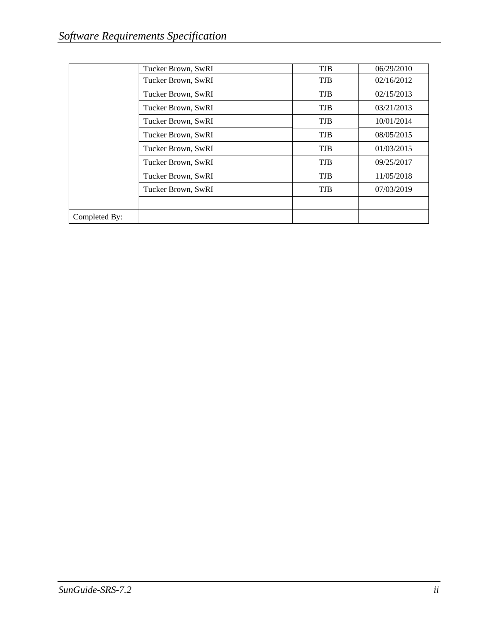|               | Tucker Brown, SwRI | <b>TJB</b> | 06/29/2010 |
|---------------|--------------------|------------|------------|
|               | Tucker Brown, SwRI | <b>TJB</b> | 02/16/2012 |
|               | Tucker Brown, SwRI | <b>TJB</b> | 02/15/2013 |
|               | Tucker Brown, SwRI | <b>TJB</b> | 03/21/2013 |
|               | Tucker Brown, SwRI | <b>TJB</b> | 10/01/2014 |
|               | Tucker Brown, SwRI | <b>TJB</b> | 08/05/2015 |
|               | Tucker Brown, SwRI | <b>TJB</b> | 01/03/2015 |
|               | Tucker Brown, SwRI | <b>TJB</b> | 09/25/2017 |
|               | Tucker Brown, SwRI | <b>TJB</b> | 11/05/2018 |
|               | Tucker Brown, SwRI | <b>TJB</b> | 07/03/2019 |
|               |                    |            |            |
| Completed By: |                    |            |            |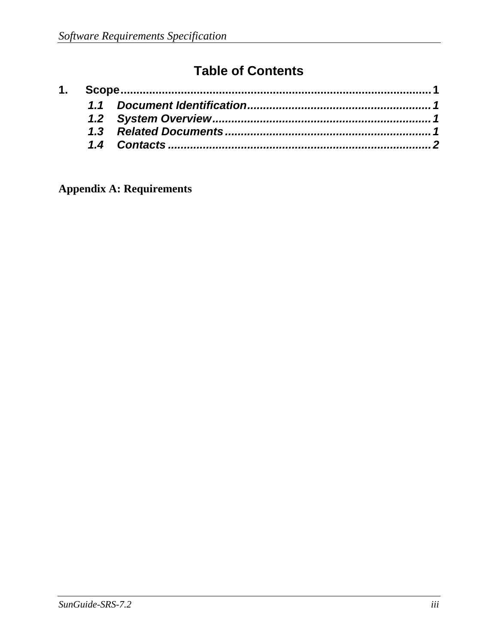## **Table of Contents**

**Appendix A: Requirements**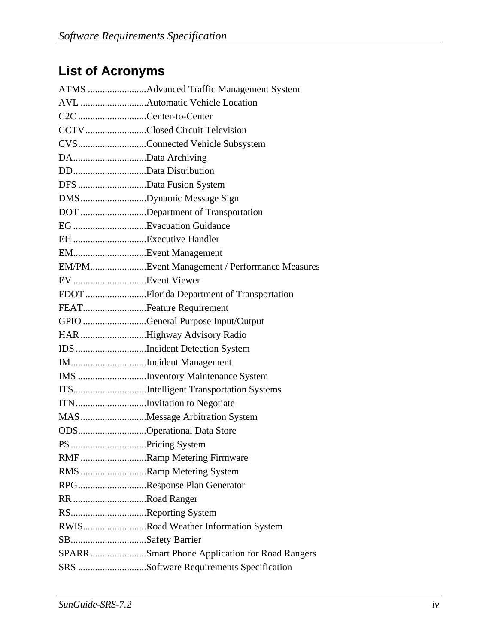# **List of Acronyms**

| C2C Center-to-Center    |                                               |
|-------------------------|-----------------------------------------------|
|                         | CCTVClosed Circuit Television                 |
|                         | CVSConnected Vehicle Subsystem                |
| DAData Archiving        |                                               |
| DDData Distribution     |                                               |
| DFS Data Fusion System  |                                               |
|                         | DMSDynamic Message Sign                       |
|                         | DOT Department of Transportation              |
|                         |                                               |
|                         |                                               |
| EMEvent Management      |                                               |
|                         | EM/PMEvent Management / Performance Measures  |
|                         |                                               |
|                         | FDOT Florida Department of Transportation     |
| FEATFeature Requirement |                                               |
|                         | GPIO General Purpose Input/Output             |
|                         | HAR Highway Advisory Radio                    |
|                         | IDS Incident Detection System                 |
|                         | IMIncident Management                         |
|                         | IMS Inventory Maintenance System              |
|                         | ITSIntelligent Transportation Systems         |
|                         | ITNInvitation to Negotiate                    |
|                         | MAS Message Arbitration System                |
|                         | ODSOperational Data Store                     |
| PS Pricing System       |                                               |
|                         | RMFRamp Metering Firmware                     |
|                         | RMS Ramp Metering System                      |
|                         | RPGResponse Plan Generator                    |
| RR Road Ranger          |                                               |
| RSReporting System      |                                               |
|                         | RWISRoad Weather Information System           |
| SBSafety Barrier        |                                               |
|                         | SPARRSmart Phone Application for Road Rangers |
|                         | SRS Software Requirements Specification       |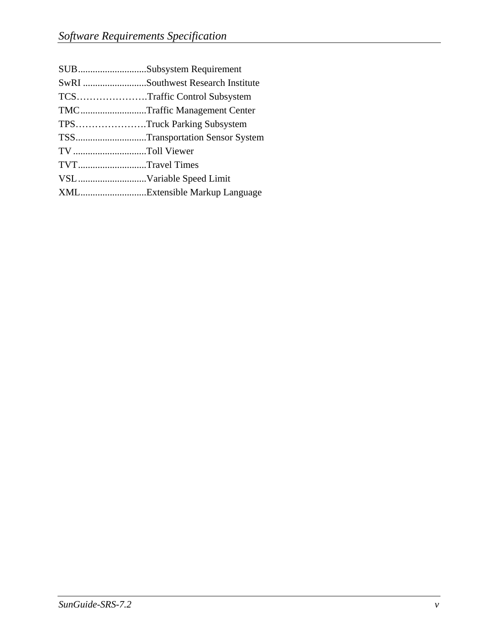|                 | SUBSubsystem Requirement          |
|-----------------|-----------------------------------|
|                 | SwRI Southwest Research Institute |
|                 | TCSTraffic Control Subsystem      |
|                 | TMCTraffic Management Center      |
|                 | TPSTruck Parking Subsystem        |
|                 | TSSTransportation Sensor System   |
| TV Toll Viewer  |                                   |
| TVTTravel Times |                                   |
|                 |                                   |
|                 | XMLExtensible Markup Language     |
|                 |                                   |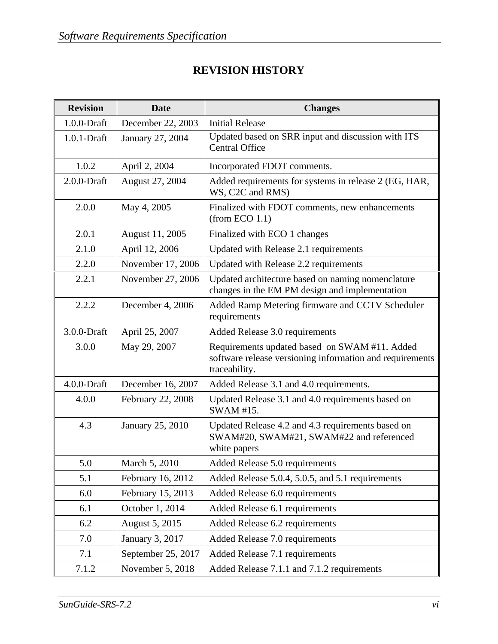#### **REVISION HISTORY**

| <b>Revision</b> | <b>Date</b>        | <b>Changes</b>                                                                                                             |
|-----------------|--------------------|----------------------------------------------------------------------------------------------------------------------------|
| $1.0.0$ -Draft  | December 22, 2003  | <b>Initial Release</b>                                                                                                     |
| $1.0.1$ -Draft  | January 27, 2004   | Updated based on SRR input and discussion with ITS<br><b>Central Office</b>                                                |
| 1.0.2           | April 2, 2004      | Incorporated FDOT comments.                                                                                                |
| $2.0.0$ -Draft  | August 27, 2004    | Added requirements for systems in release 2 (EG, HAR,<br>WS, C2C and RMS)                                                  |
| 2.0.0           | May 4, 2005        | Finalized with FDOT comments, new enhancements<br>(from ECO 1.1)                                                           |
| 2.0.1           | August 11, 2005    | Finalized with ECO 1 changes                                                                                               |
| 2.1.0           | April 12, 2006     | Updated with Release 2.1 requirements                                                                                      |
| 2.2.0           | November 17, 2006  | Updated with Release 2.2 requirements                                                                                      |
| 2.2.1           | November 27, 2006  | Updated architecture based on naming nomenclature<br>changes in the EM PM design and implementation                        |
| 2.2.2           | December 4, 2006   | Added Ramp Metering firmware and CCTV Scheduler<br>requirements                                                            |
| 3.0.0-Draft     | April 25, 2007     | Added Release 3.0 requirements                                                                                             |
| 3.0.0           | May 29, 2007       | Requirements updated based on SWAM #11. Added<br>software release versioning information and requirements<br>traceability. |
| $4.0.0$ -Draft  | December 16, 2007  | Added Release 3.1 and 4.0 requirements.                                                                                    |
| 4.0.0           | February 22, 2008  | Updated Release 3.1 and 4.0 requirements based on<br>SWAM #15.                                                             |
| 4.3             | January 25, 2010   | Updated Release 4.2 and 4.3 requirements based on<br>SWAM#20, SWAM#21, SWAM#22 and referenced<br>white papers              |
| 5.0             | March 5, 2010      | Added Release 5.0 requirements                                                                                             |
| 5.1             | February 16, 2012  | Added Release 5.0.4, 5.0.5, and 5.1 requirements                                                                           |
| 6.0             | February 15, 2013  | Added Release 6.0 requirements                                                                                             |
| 6.1             | October 1, 2014    | Added Release 6.1 requirements                                                                                             |
| 6.2             | August 5, 2015     | Added Release 6.2 requirements                                                                                             |
| 7.0             | January 3, 2017    | Added Release 7.0 requirements                                                                                             |
| 7.1             | September 25, 2017 | Added Release 7.1 requirements                                                                                             |
| 7.1.2           | November 5, 2018   | Added Release 7.1.1 and 7.1.2 requirements                                                                                 |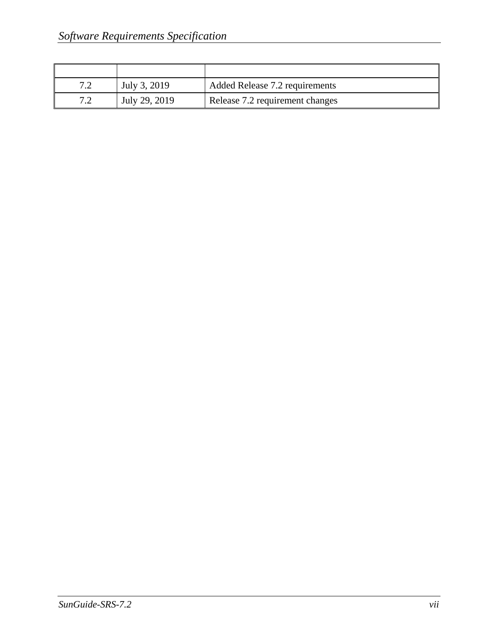| 70 | July 3, 2019  | Added Release 7.2 requirements  |
|----|---------------|---------------------------------|
| 72 | July 29, 2019 | Release 7.2 requirement changes |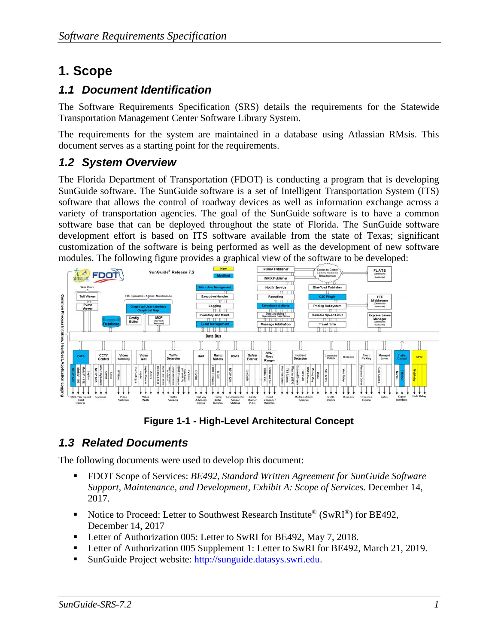## **1. Scope**

#### *1.1 Document Identification*

The Software Requirements Specification (SRS) details the requirements for the Statewide Transportation Management Center Software Library System.

The requirements for the system are maintained in a database using Atlassian RMsis. This document serves as a starting point for the requirements.

#### *1.2 System Overview*

The Florida Department of Transportation (FDOT) is conducting a program that is developing SunGuide software. The SunGuide software is a set of Intelligent Transportation System (ITS) software that allows the control of roadway devices as well as information exchange across a variety of transportation agencies. The goal of the SunGuide software is to have a common software base that can be deployed throughout the state of Florida. The SunGuide software development effort is based on ITS software available from the state of Texas; significant customization of the software is being performed as well as the development of new software modules. The following figure provides a graphical view of the software to be developed:



**Figure 1-1 - High-Level Architectural Concept** 

#### *1.3 Related Documents*

The following documents were used to develop this document:

- FDOT Scope of Services: *BE492, Standard Written Agreement for SunGuide Software Support, Maintenance, and Development, Exhibit A: Scope of Services.* December 14, 2017.
- Notice to Proceed: Letter to Southwest Research Institute<sup>®</sup> (SwRI<sup>®</sup>) for BE492, December 14, 2017
- Letter of Authorization 005: Letter to SwRI for BE492, May 7, 2018.
- Letter of Authorization 005 Supplement 1: Letter to SwRI for BE492, March 21, 2019.
- SunGuide Project website: http://sunguide.datasys.swri.edu.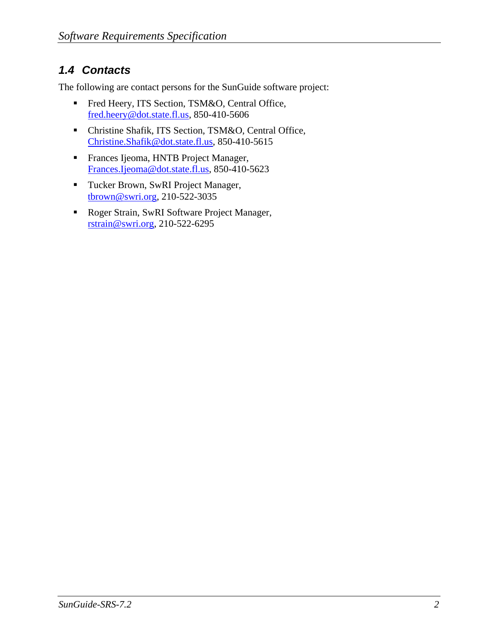#### *1.4 Contacts*

The following are contact persons for the SunGuide software project:

- Fred Heery, ITS Section, TSM&O, Central Office, fred.heery@dot.state.fl.us, 850-410-5606
- Christine Shafik, ITS Section, TSM&O, Central Office, Christine.Shafik@dot.state.fl.us, 850-410-5615
- Frances Ijeoma, HNTB Project Manager, Frances.Ijeoma@dot.state.fl.us, 850-410-5623
- Tucker Brown, SwRI Project Manager, tbrown@swri.org, 210-522-3035
- Roger Strain, SwRI Software Project Manager, rstrain@swri.org, 210-522-6295